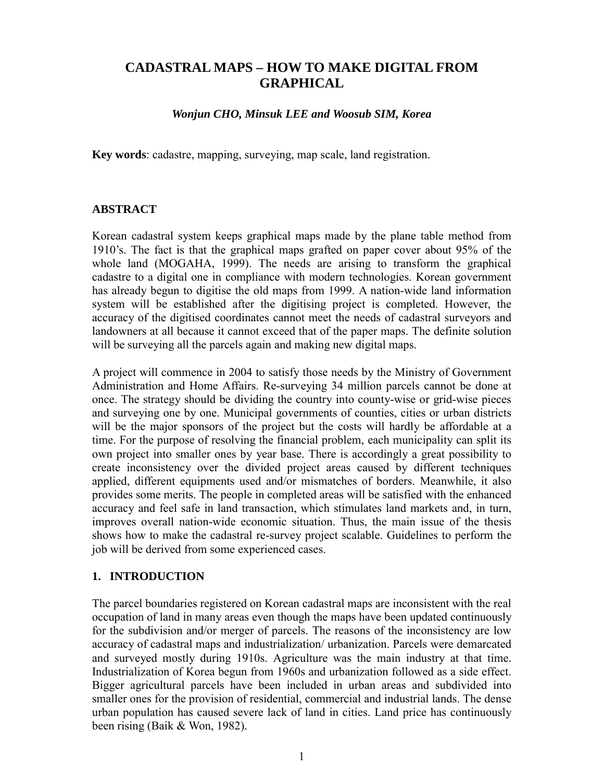# **CADASTRAL MAPS – HOW TO MAKE DIGITAL FROM GRAPHICAL**

*Wonjun CHO, Minsuk LEE and Woosub SIM, Korea*

**Key words**: cadastre, mapping, surveying, map scale, land registration.

### **ABSTRACT**

Korean cadastral system keeps graphical maps made by the plane table method from 1910's. The fact is that the graphical maps grafted on paper cover about 95% of the whole land (MOGAHA, 1999). The needs are arising to transform the graphical cadastre to a digital one in compliance with modern technologies. Korean government has already begun to digitise the old maps from 1999. A nation-wide land information system will be established after the digitising project is completed. However, the accuracy of the digitised coordinates cannot meet the needs of cadastral surveyors and landowners at all because it cannot exceed that of the paper maps. The definite solution will be surveying all the parcels again and making new digital maps.

A project will commence in 2004 to satisfy those needs by the Ministry of Government Administration and Home Affairs. Re-surveying 34 million parcels cannot be done at once. The strategy should be dividing the country into county-wise or grid-wise pieces and surveying one by one. Municipal governments of counties, cities or urban districts will be the major sponsors of the project but the costs will hardly be affordable at a time. For the purpose of resolving the financial problem, each municipality can split its own project into smaller ones by year base. There is accordingly a great possibility to create inconsistency over the divided project areas caused by different techniques applied, different equipments used and/or mismatches of borders. Meanwhile, it also provides some merits. The people in completed areas will be satisfied with the enhanced accuracy and feel safe in land transaction, which stimulates land markets and, in turn, improves overall nation-wide economic situation. Thus, the main issue of the thesis shows how to make the cadastral re-survey project scalable. Guidelines to perform the job will be derived from some experienced cases.

### **1. INTRODUCTION**

The parcel boundaries registered on Korean cadastral maps are inconsistent with the real occupation of land in many areas even though the maps have been updated continuously for the subdivision and/or merger of parcels. The reasons of the inconsistency are low accuracy of cadastral maps and industrialization/ urbanization. Parcels were demarcated and surveyed mostly during 1910s. Agriculture was the main industry at that time. Industrialization of Korea begun from 1960s and urbanization followed as a side effect. Bigger agricultural parcels have been included in urban areas and subdivided into smaller ones for the provision of residential, commercial and industrial lands. The dense urban population has caused severe lack of land in cities. Land price has continuously been rising (Baik & Won, 1982).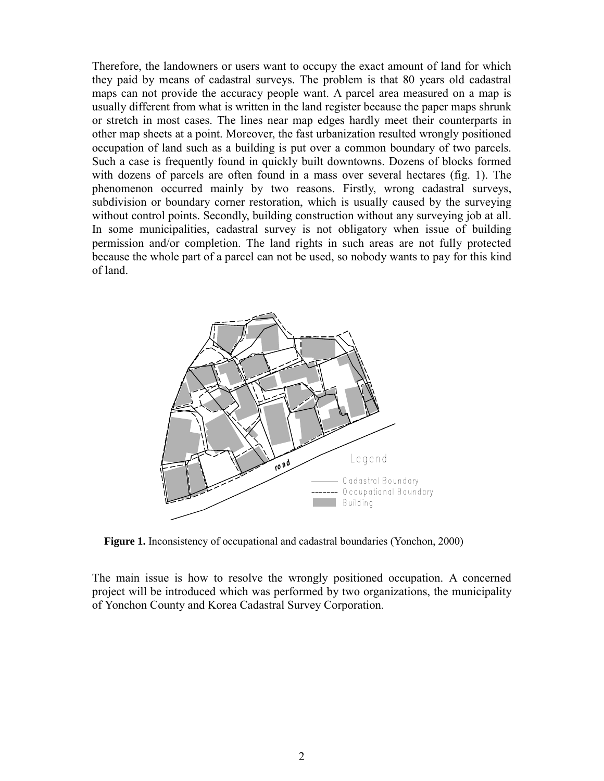Therefore, the landowners or users want to occupy the exact amount of land for which they paid by means of cadastral surveys. The problem is that 80 years old cadastral maps can not provide the accuracy people want. A parcel area measured on a map is usually different from what is written in the land register because the paper maps shrunk or stretch in most cases. The lines near map edges hardly meet their counterparts in other map sheets at a point. Moreover, the fast urbanization resulted wrongly positioned occupation of land such as a building is put over a common boundary of two parcels. Such a case is frequently found in quickly built downtowns. Dozens of blocks formed with dozens of parcels are often found in a mass over several hectares (fig. 1). The phenomenon occurred mainly by two reasons. Firstly, wrong cadastral surveys, subdivision or boundary corner restoration, which is usually caused by the surveying without control points. Secondly, building construction without any surveying job at all. In some municipalities, cadastral survey is not obligatory when issue of building permission and/or completion. The land rights in such areas are not fully protected because the whole part of a parcel can not be used, so nobody wants to pay for this kind of land.



**Figure 1.** Inconsistency of occupational and cadastral boundaries (Yonchon, 2000)

The main issue is how to resolve the wrongly positioned occupation. A concerned project will be introduced which was performed by two organizations, the municipality of Yonchon County and Korea Cadastral Survey Corporation.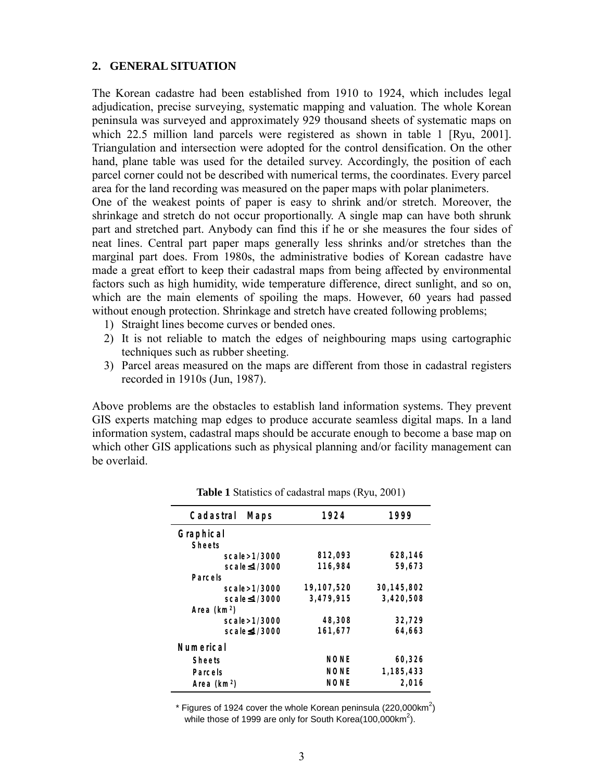#### **2. GENERAL SITUATION**

The Korean cadastre had been established from 1910 to 1924, which includes legal adjudication, precise surveying, systematic mapping and valuation. The whole Korean peninsula was surveyed and approximately 929 thousand sheets of systematic maps on which 22.5 million land parcels were registered as shown in table 1 [Ryu, 2001]. Triangulation and intersection were adopted for the control densification. On the other hand, plane table was used for the detailed survey. Accordingly, the position of each parcel corner could not be described with numerical terms, the coordinates. Every parcel area for the land recording was measured on the paper maps with polar planimeters.

One of the weakest points of paper is easy to shrink and/or stretch. Moreover, the shrinkage and stretch do not occur proportionally. A single map can have both shrunk part and stretched part. Anybody can find this if he or she measures the four sides of neat lines. Central part paper maps generally less shrinks and/or stretches than the marginal part does. From 1980s, the administrative bodies of Korean cadastre have made a great effort to keep their cadastral maps from being affected by environmental factors such as high humidity, wide temperature difference, direct sunlight, and so on, which are the main elements of spoiling the maps. However, 60 years had passed without enough protection. Shrinkage and stretch have created following problems;

- 1) Straight lines become curves or bended ones.
- 2) It is not reliable to match the edges of neighbouring maps using cartographic techniques such as rubber sheeting.
- 3) Parcel areas measured on the maps are different from those in cadastral registers recorded in 1910s (Jun, 1987).

Above problems are the obstacles to establish land information systems. They prevent GIS experts matching map edges to produce accurate seamless digital maps. In a land information system, cadastral maps should be accurate enough to become a base map on which other GIS applications such as physical planning and/or facility management can be overlaid.

| Cadastral<br>M aps | 1924       | 1999       |  |  |  |  |  |
|--------------------|------------|------------|--|--|--|--|--|
| G raphical         |            |            |  |  |  |  |  |
| <b>Sheets</b>      |            |            |  |  |  |  |  |
| scale > 1/3000     | 812,093    | 628,146    |  |  |  |  |  |
| scale≤1/3000       | 116,984    | 59,673     |  |  |  |  |  |
| Parcels            |            |            |  |  |  |  |  |
| scale > 1/3000     | 19,107,520 | 30,145,802 |  |  |  |  |  |
| scale < 1/3000     | 3,479,915  | 3,420,508  |  |  |  |  |  |
| Area $(km2)$       |            |            |  |  |  |  |  |
| scale > 1/3000     | 48,308     | 32,729     |  |  |  |  |  |
| scale≤1/3000       | 161,677    | 64,663     |  |  |  |  |  |
| Num erical         |            |            |  |  |  |  |  |
| Sheets             | NONE       | 60,326     |  |  |  |  |  |
| Parcels            | NONE       | 1,185,433  |  |  |  |  |  |
| Area $(km2)$       | NONE       | 2,016      |  |  |  |  |  |

**Table 1** Statistics of cadastral maps (Ryu, 2001)

\* Figures of 1924 cover the whole Korean peninsula (220,000km<sup>2</sup>) while those of 1999 are only for South Korea(100,000km<sup>2</sup>).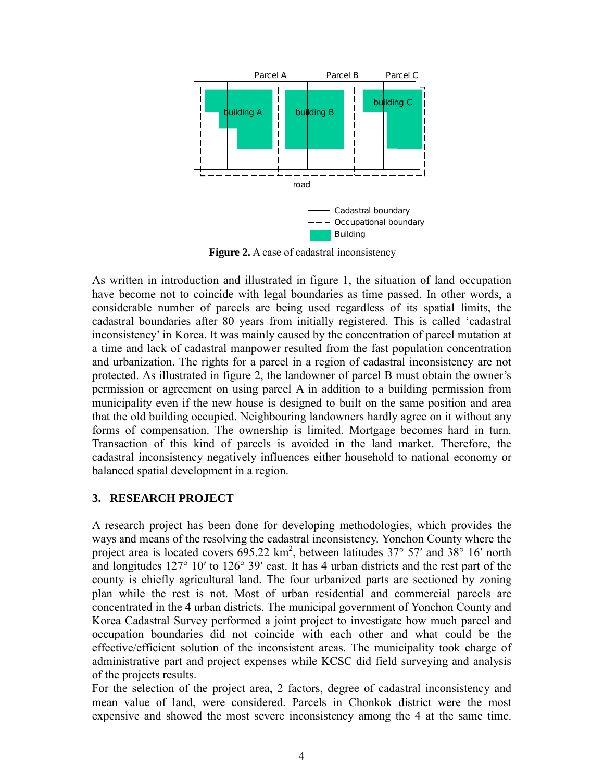

**Figure 2.** A case of cadastral inconsistency

As written in introduction and illustrated in figure 1, the situation of land occupation have become not to coincide with legal boundaries as time passed. In other words, a considerable number of parcels are being used regardless of its spatial limits, the cadastral boundaries after 80 years from initially registered. This is called 'cadastral inconsistency' in Korea. It was mainly caused by the concentration of parcel mutation at a time and lack of cadastral manpower resulted from the fast population concentration and urbanization. The rights for a parcel in a region of cadastral inconsistency are not protected. As illustrated in figure 2, the landowner of parcel B must obtain the owner's permission or agreement on using parcel A in addition to a building permission from municipality even if the new house is designed to built on the same position and area that the old building occupied. Neighbouring landowners hardly agree on it without any forms of compensation. The ownership is limited. Mortgage becomes hard in turn. Transaction of this kind of parcels is avoided in the land market. Therefore, the cadastral inconsistency negatively influences either household to national economy or balanced spatial development in a region.

### **3. RESEARCH PROJECT**

A research project has been done for developing methodologies, which provides the ways and means of the resolving the cadastral inconsistency. Yonchon County where the project area is located covers  $695.22 \text{ km}^2$ , between latitudes 37° 57′ and 38° 16′ north and longitudes 127° 10′ to 126° 39′ east. It has 4 urban districts and the rest part of the county is chiefly agricultural land. The four urbanized parts are sectioned by zoning plan while the rest is not. Most of urban residential and commercial parcels are concentrated in the 4 urban districts. The municipal government of Yonchon County and Korea Cadastral Survey performed a joint project to investigate how much parcel and occupation boundaries did not coincide with each other and what could be the effective/efficient solution of the inconsistent areas. The municipality took charge of administrative part and project expenses while KCSC did field surveying and analysis of the projects results.

For the selection of the project area, 2 factors, degree of cadastral inconsistency and mean value of land, were considered. Parcels in Chonkok district were the most expensive and showed the most severe inconsistency among the 4 at the same time.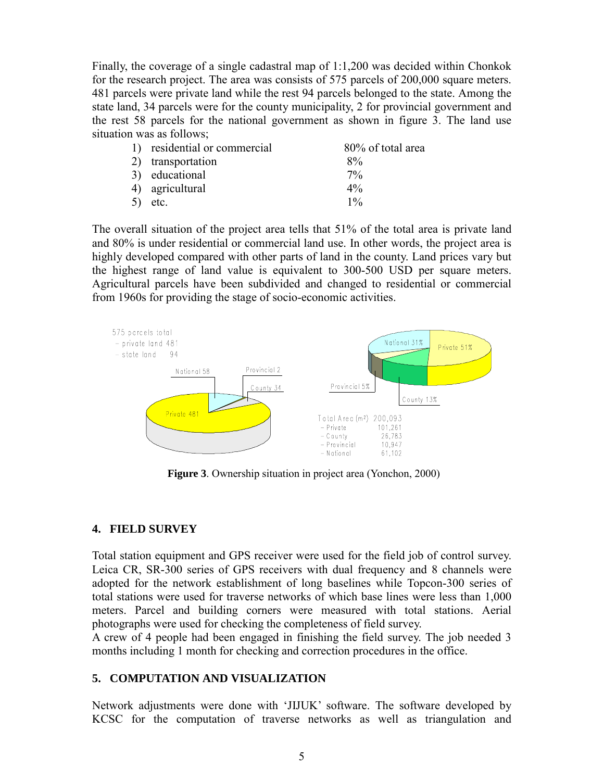Finally, the coverage of a single cadastral map of 1:1,200 was decided within Chonkok for the research project. The area was consists of 575 parcels of 200,000 square meters. 481 parcels were private land while the rest 94 parcels belonged to the state. Among the state land, 34 parcels were for the county municipality, 2 for provincial government and the rest 58 parcels for the national government as shown in figure 3. The land use situation was as follows;

| 1) residential or commercial | 80% of total area |
|------------------------------|-------------------|
| 2) transportation            | $8\%$             |
| 3) educational               | $7\%$             |
| 4) agricultural              | $4\%$             |
| $5)$ etc.                    | $1\%$             |

The overall situation of the project area tells that 51% of the total area is private land and 80% is under residential or commercial land use. In other words, the project area is highly developed compared with other parts of land in the county. Land prices vary but the highest range of land value is equivalent to 300-500 USD per square meters. Agricultural parcels have been subdivided and changed to residential or commercial from 1960s for providing the stage of socio-economic activities.



**Figure 3**. Ownership situation in project area (Yonchon, 2000)

### **4. FIELD SURVEY**

Total station equipment and GPS receiver were used for the field job of control survey. Leica CR, SR-300 series of GPS receivers with dual frequency and 8 channels were adopted for the network establishment of long baselines while Topcon-300 series of total stations were used for traverse networks of which base lines were less than 1,000 meters. Parcel and building corners were measured with total stations. Aerial photographs were used for checking the completeness of field survey.

A crew of 4 people had been engaged in finishing the field survey. The job needed 3 months including 1 month for checking and correction procedures in the office.

### **5. COMPUTATION AND VISUALIZATION**

Network adjustments were done with 'JIJUK' software. The software developed by KCSC for the computation of traverse networks as well as triangulation and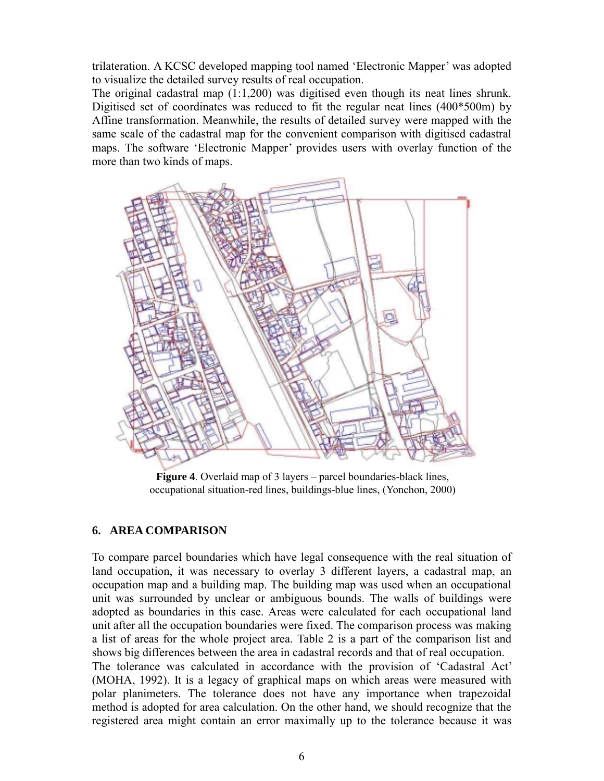trilateration. A KCSC developed mapping tool named 'Electronic Mapper' was adopted to visualize the detailed survey results of real occupation.

The original cadastral map (1:1,200) was digitised even though its neat lines shrunk. Digitised set of coordinates was reduced to fit the regular neat lines (400\*500m) by Affine transformation. Meanwhile, the results of detailed survey were mapped with the same scale of the cadastral map for the convenient comparison with digitised cadastral maps. The software 'Electronic Mapper' provides users with overlay function of the more than two kinds of maps.



**Figure 4**. Overlaid map of 3 layers – parcel boundaries-black lines, occupational situation-red lines, buildings-blue lines, (Yonchon, 2000)

### **6. AREA COMPARISON**

To compare parcel boundaries which have legal consequence with the real situation of land occupation, it was necessary to overlay 3 different layers, a cadastral map, an occupation map and a building map. The building map was used when an occupational unit was surrounded by unclear or ambiguous bounds. The walls of buildings were adopted as boundaries in this case. Areas were calculated for each occupational land unit after all the occupation boundaries were fixed. The comparison process was making a list of areas for the whole project area. Table 2 is a part of the comparison list and shows big differences between the area in cadastral records and that of real occupation. The tolerance was calculated in accordance with the provision of 'Cadastral Act' (MOHA, 1992). It is a legacy of graphical maps on which areas were measured with polar planimeters. The tolerance does not have any importance when trapezoidal method is adopted for area calculation. On the other hand, we should recognize that the registered area might contain an error maximally up to the tolerance because it was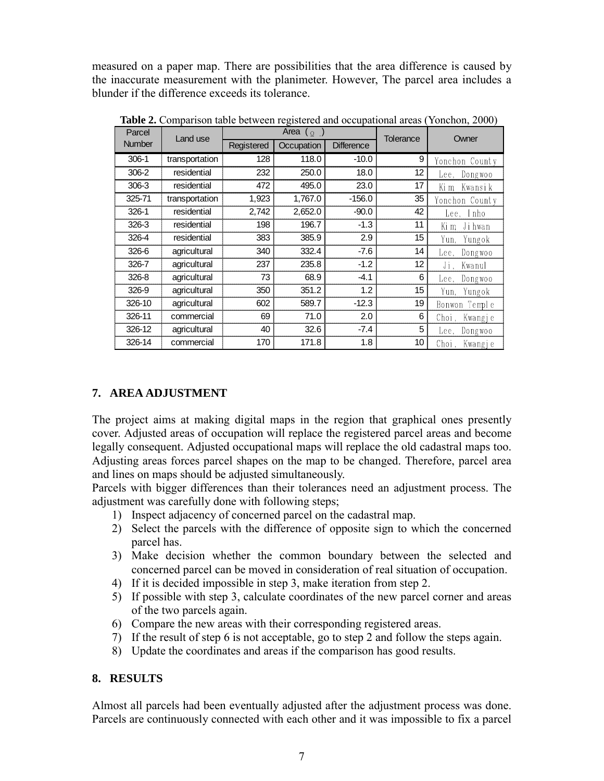measured on a paper map. There are possibilities that the area difference is caused by the inaccurate measurement with the planimeter. However, The parcel area includes a blunder if the difference exceeds its tolerance.

| Parcel        | Land use       | Area $(\varrho)$ |            | Tolerance         | Owner |                  |
|---------------|----------------|------------------|------------|-------------------|-------|------------------|
| <b>Number</b> |                | Registered       | Occupation | <b>Difference</b> |       |                  |
| $306-1$       | transportation | 128              | 118.0      | $-10.0$           | 9     | Yonchon County   |
| 306-2         | residential    | 232              | 250.0      | 18.0              | 12    | Dongwoo<br>Lee.  |
| 306-3         | residential    | 472              | 495.0      | 23.0              | 17    | Kwansi k<br>Ki m |
| 325-71        | transportation | 1,923            | 1,767.0    | $-156.0$          | 35    | Yonchon County   |
| $326-1$       | residential    | 2,742            | 2,652.0    | $-90.0$           | 42    | Lee, Inho        |
| 326-3         | residential    | 198              | 196.7      | $-1.3$            | 11    | Jihwan<br>Ki m   |
| 326-4         | residential    | 383              | 385.9      | 2.9               | 15    | Yun,<br>Yungok   |
| 326-6         | agricultural   | 340              | 332.4      | $-7.6$            | 14    | Dongwoo<br>Lee.  |
| 326-7         | agricultural   | 237              | 235.8      | $-1.2$            | 12    | Ji.<br>Kwanul    |
| 326-8         | agricultural   | 73               | 68.9       | $-4.1$            | 6     | Dongwoo<br>Lee.  |
| 326-9         | agricultural   | 350              | 351.2      | 1.2               | 15    | Yun,<br>Yungok   |
| 326-10        | agricultural   | 602              | 589.7      | $-12.3$           | 19    | Bonwon Temple    |
| 326-11        | commercial     | 69               | 71.0       | 2.0               | 6     | Choi,<br>Kwangje |
| 326-12        | agricultural   | 40               | 32.6       | $-7.4$            | 5     | Dongwoo<br>Lee.  |
| 326-14        | commercial     | 170              | 171.8      | 1.8               | 10    | Choi.<br>Kwangje |

**Table 2.** Comparison table between registered and occupational areas (Yonchon, 2000)

## **7. AREA ADJUSTMENT**

The project aims at making digital maps in the region that graphical ones presently cover. Adjusted areas of occupation will replace the registered parcel areas and become legally consequent. Adjusted occupational maps will replace the old cadastral maps too. Adjusting areas forces parcel shapes on the map to be changed. Therefore, parcel area and lines on maps should be adjusted simultaneously.

Parcels with bigger differences than their tolerances need an adjustment process. The adjustment was carefully done with following steps;

- 1) Inspect adjacency of concerned parcel on the cadastral map.
- 2) Select the parcels with the difference of opposite sign to which the concerned parcel has.
- 3) Make decision whether the common boundary between the selected and concerned parcel can be moved in consideration of real situation of occupation.
- 4) If it is decided impossible in step 3, make iteration from step 2.
- 5) If possible with step 3, calculate coordinates of the new parcel corner and areas of the two parcels again.
- 6) Compare the new areas with their corresponding registered areas.
- 7) If the result of step 6 is not acceptable, go to step 2 and follow the steps again.
- 8) Update the coordinates and areas if the comparison has good results.

### **8. RESULTS**

Almost all parcels had been eventually adjusted after the adjustment process was done. Parcels are continuously connected with each other and it was impossible to fix a parcel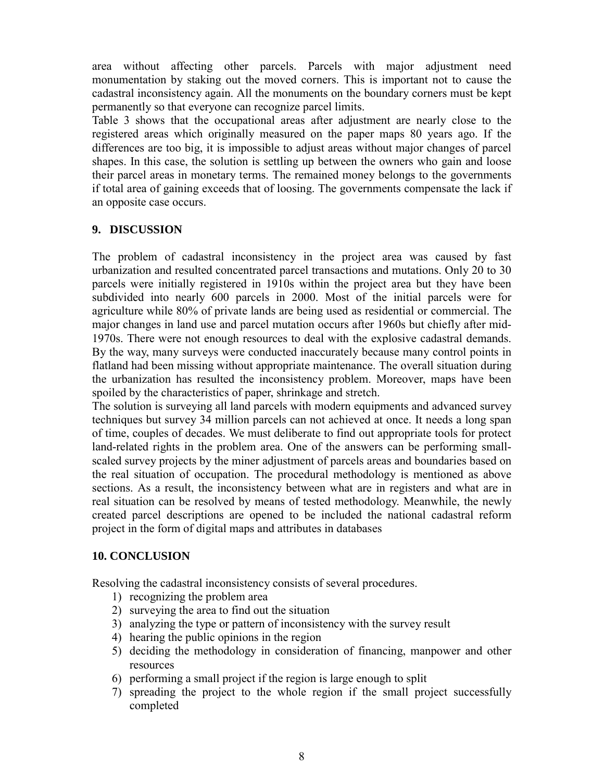area without affecting other parcels. Parcels with major adjustment need monumentation by staking out the moved corners. This is important not to cause the cadastral inconsistency again. All the monuments on the boundary corners must be kept permanently so that everyone can recognize parcel limits.

Table 3 shows that the occupational areas after adjustment are nearly close to the registered areas which originally measured on the paper maps 80 years ago. If the differences are too big, it is impossible to adjust areas without major changes of parcel shapes. In this case, the solution is settling up between the owners who gain and loose their parcel areas in monetary terms. The remained money belongs to the governments if total area of gaining exceeds that of loosing. The governments compensate the lack if an opposite case occurs.

### **9. DISCUSSION**

The problem of cadastral inconsistency in the project area was caused by fast urbanization and resulted concentrated parcel transactions and mutations. Only 20 to 30 parcels were initially registered in 1910s within the project area but they have been subdivided into nearly 600 parcels in 2000. Most of the initial parcels were for agriculture while 80% of private lands are being used as residential or commercial. The major changes in land use and parcel mutation occurs after 1960s but chiefly after mid-1970s. There were not enough resources to deal with the explosive cadastral demands. By the way, many surveys were conducted inaccurately because many control points in flatland had been missing without appropriate maintenance. The overall situation during the urbanization has resulted the inconsistency problem. Moreover, maps have been spoiled by the characteristics of paper, shrinkage and stretch.

The solution is surveying all land parcels with modern equipments and advanced survey techniques but survey 34 million parcels can not achieved at once. It needs a long span of time, couples of decades. We must deliberate to find out appropriate tools for protect land-related rights in the problem area. One of the answers can be performing smallscaled survey projects by the miner adjustment of parcels areas and boundaries based on the real situation of occupation. The procedural methodology is mentioned as above sections. As a result, the inconsistency between what are in registers and what are in real situation can be resolved by means of tested methodology. Meanwhile, the newly created parcel descriptions are opened to be included the national cadastral reform project in the form of digital maps and attributes in databases

### **10. CONCLUSION**

Resolving the cadastral inconsistency consists of several procedures.

- 1) recognizing the problem area
- 2) surveying the area to find out the situation
- 3) analyzing the type or pattern of inconsistency with the survey result
- 4) hearing the public opinions in the region
- 5) deciding the methodology in consideration of financing, manpower and other resources
- 6) performing a small project if the region is large enough to split
- 7) spreading the project to the whole region if the small project successfully completed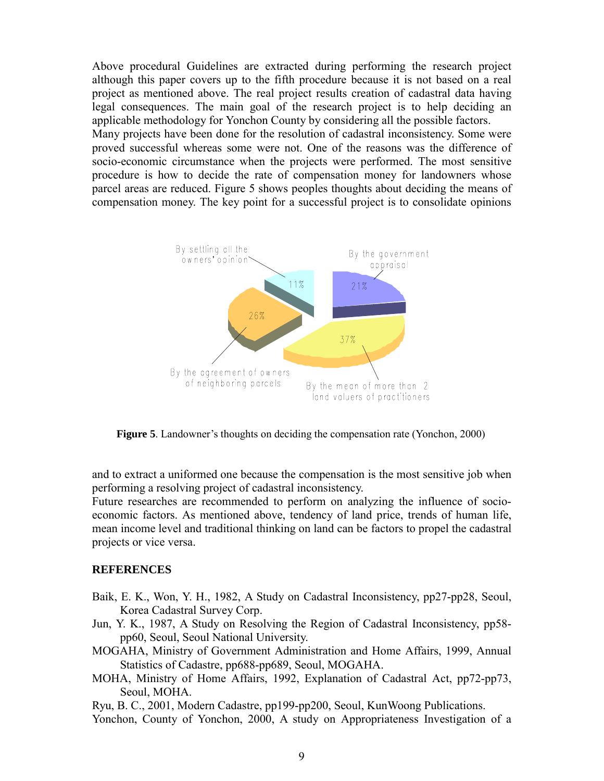Above procedural Guidelines are extracted during performing the research project although this paper covers up to the fifth procedure because it is not based on a real project as mentioned above. The real project results creation of cadastral data having legal consequences. The main goal of the research project is to help deciding an applicable methodology for Yonchon County by considering all the possible factors.

Many projects have been done for the resolution of cadastral inconsistency. Some were proved successful whereas some were not. One of the reasons was the difference of socio-economic circumstance when the projects were performed. The most sensitive procedure is how to decide the rate of compensation money for landowners whose parcel areas are reduced. Figure 5 shows peoples thoughts about deciding the means of compensation money. The key point for a successful project is to consolidate opinions



**Figure 5**. Landowner's thoughts on deciding the compensation rate (Yonchon, 2000)

and to extract a uniformed one because the compensation is the most sensitive job when performing a resolving project of cadastral inconsistency.

Future researches are recommended to perform on analyzing the influence of socioeconomic factors. As mentioned above, tendency of land price, trends of human life, mean income level and traditional thinking on land can be factors to propel the cadastral projects or vice versa.

#### **REFERENCES**

- Baik, E. K., Won, Y. H., 1982, A Study on Cadastral Inconsistency, pp27-pp28, Seoul, Korea Cadastral Survey Corp.
- Jun, Y. K., 1987, A Study on Resolving the Region of Cadastral Inconsistency, pp58 pp60, Seoul, Seoul National University.
- MOGAHA, Ministry of Government Administration and Home Affairs, 1999, Annual Statistics of Cadastre, pp688-pp689, Seoul, MOGAHA.
- MOHA, Ministry of Home Affairs, 1992, Explanation of Cadastral Act, pp72-pp73, Seoul, MOHA.

Ryu, B. C., 2001, Modern Cadastre, pp199-pp200, Seoul, KunWoong Publications.

Yonchon, County of Yonchon, 2000, A study on Appropriateness Investigation of a